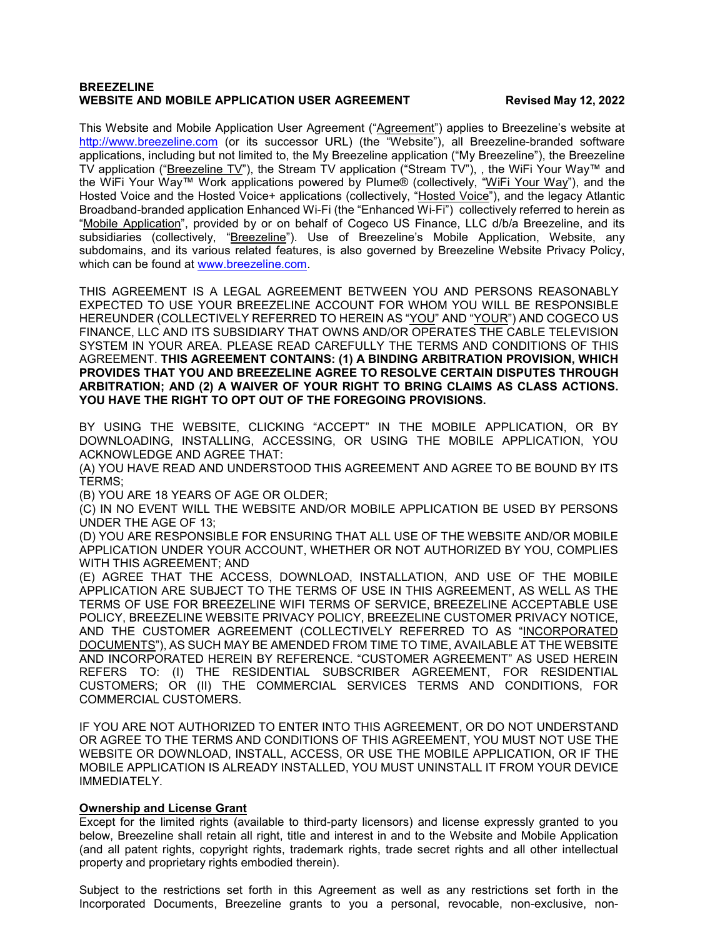### **BREEZELINE WEBSITE AND MOBILE APPLICATION USER AGREEMENT FOR A PROPERTY REVISEd May 12, 2022**

This Website and Mobile Application User Agreement ("Agreement") applies to Breezeline's website at [http://www.breezeline.com](http://www.breezeline.com/) (or its successor URL) (the "Website"), all Breezeline-branded software applications, including but not limited to, the My Breezeline application ("My Breezeline"), the Breezeline TV application ("Breezeline TV"), the Stream TV application ("Stream TV"), , the WiFi Your Way™ and the WiFi Your Way™ Work applications powered by Plume® (collectively, "WiFi Your Way"), and the Hosted Voice and the Hosted Voice+ applications (collectively, "Hosted Voice"), and the legacy Atlantic Broadband-branded application Enhanced Wi-Fi (the "Enhanced Wi-Fi") collectively referred to herein as "Mobile Application", provided by or on behalf of Cogeco US Finance, LLC d/b/a Breezeline, and its subsidiaries (collectively, "Breezeline"). Use of Breezeline's Mobile Application, Website, any subdomains, and its various related features, is also governed by Breezeline Website Privacy Policy, which can be found at www.breezeline.com.

THIS AGREEMENT IS A LEGAL AGREEMENT BETWEEN YOU AND PERSONS REASONABLY EXPECTED TO USE YOUR BREEZELINE ACCOUNT FOR WHOM YOU WILL BE RESPONSIBLE HEREUNDER (COLLECTIVELY REFERRED TO HEREIN AS "YOU" AND "YOUR") AND COGECO US FINANCE, LLC AND ITS SUBSIDIARY THAT OWNS AND/OR OPERATES THE CABLE TELEVISION SYSTEM IN YOUR AREA. PLEASE READ CAREFULLY THE TERMS AND CONDITIONS OF THIS AGREEMENT. **THIS AGREEMENT CONTAINS: (1) A BINDING ARBITRATION PROVISION, WHICH PROVIDES THAT YOU AND BREEZELINE AGREE TO RESOLVE CERTAIN DISPUTES THROUGH ARBITRATION; AND (2) A WAIVER OF YOUR RIGHT TO BRING CLAIMS AS CLASS ACTIONS. YOU HAVE THE RIGHT TO OPT OUT OF THE FOREGOING PROVISIONS.**

BY USING THE WEBSITE, CLICKING "ACCEPT" IN THE MOBILE APPLICATION, OR BY DOWNLOADING, INSTALLING, ACCESSING, OR USING THE MOBILE APPLICATION, YOU ACKNOWLEDGE AND AGREE THAT:

(A) YOU HAVE READ AND UNDERSTOOD THIS AGREEMENT AND AGREE TO BE BOUND BY ITS TERMS;

(B) YOU ARE 18 YEARS OF AGE OR OLDER;

(C) IN NO EVENT WILL THE WEBSITE AND/OR MOBILE APPLICATION BE USED BY PERSONS UNDER THE AGE OF 13;

(D) YOU ARE RESPONSIBLE FOR ENSURING THAT ALL USE OF THE WEBSITE AND/OR MOBILE APPLICATION UNDER YOUR ACCOUNT, WHETHER OR NOT AUTHORIZED BY YOU, COMPLIES WITH THIS AGREEMENT; AND

(E) AGREE THAT THE ACCESS, DOWNLOAD, INSTALLATION, AND USE OF THE MOBILE APPLICATION ARE SUBJECT TO THE TERMS OF USE IN THIS AGREEMENT, AS WELL AS THE TERMS OF USE FOR BREEZELINE WIFI TERMS OF SERVICE, BREEZELINE ACCEPTABLE USE POLICY, BREEZELINE WEBSITE PRIVACY POLICY, BREEZELINE CUSTOMER PRIVACY NOTICE, AND THE CUSTOMER AGREEMENT (COLLECTIVELY REFERRED TO AS "INCORPORATED DOCUMENTS"), AS SUCH MAY BE AMENDED FROM TIME TO TIME, AVAILABLE AT THE WEBSITE AND INCORPORATED HEREIN BY REFERENCE. "CUSTOMER AGREEMENT" AS USED HEREIN REFERS TO: (I) THE RESIDENTIAL SUBSCRIBER AGREEMENT, FOR RESIDENTIAL CUSTOMERS; OR (II) THE COMMERCIAL SERVICES TERMS AND CONDITIONS, FOR COMMERCIAL CUSTOMERS.

IF YOU ARE NOT AUTHORIZED TO ENTER INTO THIS AGREEMENT, OR DO NOT UNDERSTAND OR AGREE TO THE TERMS AND CONDITIONS OF THIS AGREEMENT, YOU MUST NOT USE THE WEBSITE OR DOWNLOAD, INSTALL, ACCESS, OR USE THE MOBILE APPLICATION, OR IF THE MOBILE APPLICATION IS ALREADY INSTALLED, YOU MUST UNINSTALL IT FROM YOUR DEVICE IMMEDIATELY.

### **Ownership and License Grant**

Except for the limited rights (available to third-party licensors) and license expressly granted to you below, Breezeline shall retain all right, title and interest in and to the Website and Mobile Application (and all patent rights, copyright rights, trademark rights, trade secret rights and all other intellectual property and proprietary rights embodied therein).

Subject to the restrictions set forth in this Agreement as well as any restrictions set forth in the Incorporated Documents, Breezeline grants to you a personal, revocable, non-exclusive, non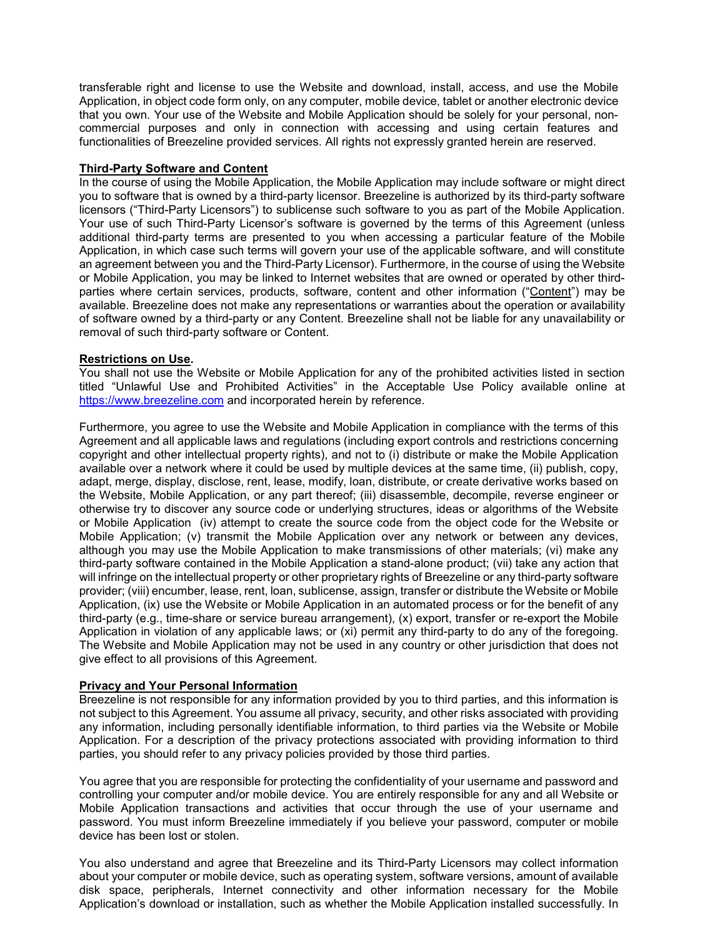transferable right and license to use the Website and download, install, access, and use the Mobile Application, in object code form only, on any computer, mobile device, tablet or another electronic device that you own. Your use of the Website and Mobile Application should be solely for your personal, noncommercial purposes and only in connection with accessing and using certain features and functionalities of Breezeline provided services. All rights not expressly granted herein are reserved.

## **Third-Party Software and Content**

In the course of using the Mobile Application, the Mobile Application may include software or might direct you to software that is owned by a third-party licensor. Breezeline is authorized by its third-party software licensors ("Third-Party Licensors") to sublicense such software to you as part of the Mobile Application. Your use of such Third-Party Licensor's software is governed by the terms of this Agreement (unless additional third-party terms are presented to you when accessing a particular feature of the Mobile Application, in which case such terms will govern your use of the applicable software, and will constitute an agreement between you and the Third-Party Licensor). Furthermore, in the course of using the Website or Mobile Application, you may be linked to Internet websites that are owned or operated by other thirdparties where certain services, products, software, content and other information ("Content") may be available. Breezeline does not make any representations or warranties about the operation or availability of software owned by a third-party or any Content. Breezeline shall not be liable for any unavailability or removal of such third-party software or Content.

### **Restrictions on Use.**

You shall not use the Website or Mobile Application for any of the prohibited activities listed in section titled "Unlawful Use and Prohibited Activities" in the Acceptable Use Policy available online at [https://www.breezeline.com](https://www.breezeline.com/) and incorporated herein by reference.

Furthermore, you agree to use the Website and Mobile Application in compliance with the terms of this Agreement and all applicable laws and regulations (including export controls and restrictions concerning copyright and other intellectual property rights), and not to (i) distribute or make the Mobile Application available over a network where it could be used by multiple devices at the same time, (ii) publish, copy, adapt, merge, display, disclose, rent, lease, modify, loan, distribute, or create derivative works based on the Website, Mobile Application, or any part thereof; (iii) disassemble, decompile, reverse engineer or otherwise try to discover any source code or underlying structures, ideas or algorithms of the Website or Mobile Application (iv) attempt to create the source code from the object code for the Website or Mobile Application; (v) transmit the Mobile Application over any network or between any devices, although you may use the Mobile Application to make transmissions of other materials; (vi) make any third-party software contained in the Mobile Application a stand-alone product; (vii) take any action that will infringe on the intellectual property or other proprietary rights of Breezeline or any third-party software provider; (viii) encumber, lease, rent, loan, sublicense, assign, transfer or distribute the Website or Mobile Application, (ix) use the Website or Mobile Application in an automated process or for the benefit of any third-party (e.g., time-share or service bureau arrangement), (x) export, transfer or re-export the Mobile Application in violation of any applicable laws; or (xi) permit any third-party to do any of the foregoing. The Website and Mobile Application may not be used in any country or other jurisdiction that does not give effect to all provisions of this Agreement.

# **Privacy and Your Personal Information**

Breezeline is not responsible for any information provided by you to third parties, and this information is not subject to this Agreement. You assume all privacy, security, and other risks associated with providing any information, including personally identifiable information, to third parties via the Website or Mobile Application. For a description of the privacy protections associated with providing information to third parties, you should refer to any privacy policies provided by those third parties.

You agree that you are responsible for protecting the confidentiality of your username and password and controlling your computer and/or mobile device. You are entirely responsible for any and all Website or Mobile Application transactions and activities that occur through the use of your username and password. You must inform Breezeline immediately if you believe your password, computer or mobile device has been lost or stolen.

You also understand and agree that Breezeline and its Third-Party Licensors may collect information about your computer or mobile device, such as operating system, software versions, amount of available disk space, peripherals, Internet connectivity and other information necessary for the Mobile Application's download or installation, such as whether the Mobile Application installed successfully. In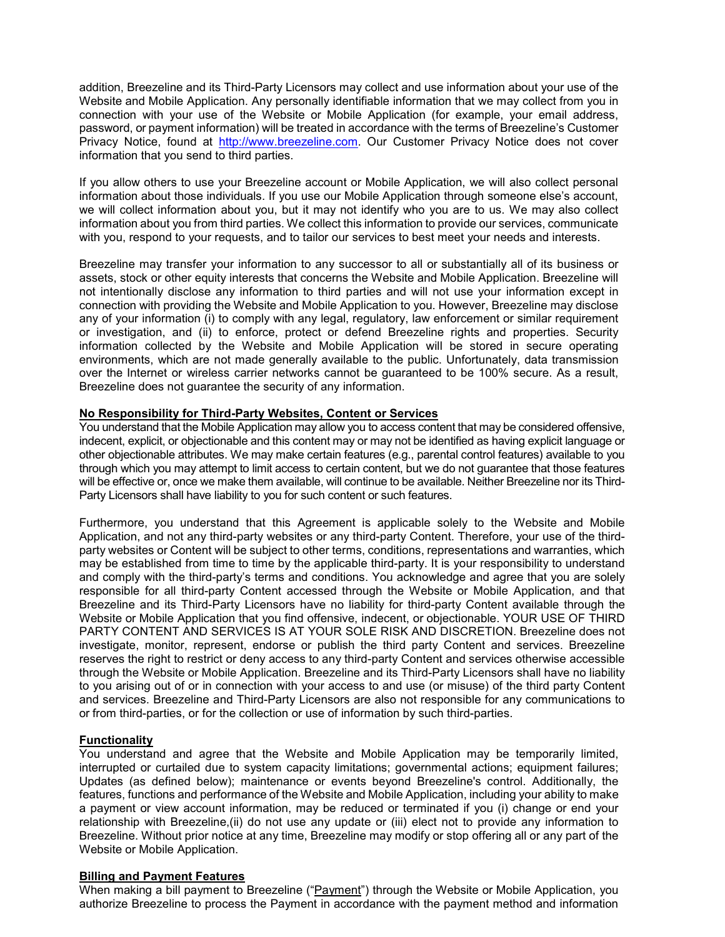addition, Breezeline and its Third-Party Licensors may collect and use information about your use of the Website and Mobile Application. Any personally identifiable information that we may collect from you in connection with your use of the Website or Mobile Application (for example, your email address, password, or payment information) will be treated in accordance with the terms of Breezeline's Customer Privacy Notice, found at [http://www.breezeline.com.](http://www.breezeline.com/) Our Customer Privacy Notice does not cover information that you send to third parties.

If you allow others to use your Breezeline account or Mobile Application, we will also collect personal information about those individuals. If you use our Mobile Application through someone else's account, we will collect information about you, but it may not identify who you are to us. We may also collect information about you from third parties. We collect this information to provide our services, communicate with you, respond to your requests, and to tailor our services to best meet your needs and interests.

Breezeline may transfer your information to any successor to all or substantially all of its business or assets, stock or other equity interests that concerns the Website and Mobile Application. Breezeline will not intentionally disclose any information to third parties and will not use your information except in connection with providing the Website and Mobile Application to you. However, Breezeline may disclose any of your information (i) to comply with any legal, regulatory, law enforcement or similar requirement or investigation, and (ii) to enforce, protect or defend Breezeline rights and properties. Security information collected by the Website and Mobile Application will be stored in secure operating environments, which are not made generally available to the public. Unfortunately, data transmission over the Internet or wireless carrier networks cannot be guaranteed to be 100% secure. As a result, Breezeline does not guarantee the security of any information.

### **No Responsibility for Third-Party Websites, Content or Services**

You understand that the Mobile Application may allow you to access content that may be considered offensive, indecent, explicit, or objectionable and this content may or may not be identified as having explicit language or other objectionable attributes. We may make certain features (e.g., parental control features) available to you through which you may attempt to limit access to certain content, but we do not guarantee that those features will be effective or, once we make them available, will continue to be available. Neither Breezeline nor its Third-Party Licensors shall have liability to you for such content or such features.

Furthermore, you understand that this Agreement is applicable solely to the Website and Mobile Application, and not any third-party websites or any third-party Content. Therefore, your use of the thirdparty websites or Content will be subject to other terms, conditions, representations and warranties, which may be established from time to time by the applicable third-party. It is your responsibility to understand and comply with the third-party's terms and conditions. You acknowledge and agree that you are solely responsible for all third-party Content accessed through the Website or Mobile Application, and that Breezeline and its Third-Party Licensors have no liability for third-party Content available through the Website or Mobile Application that you find offensive, indecent, or objectionable. YOUR USE OF THIRD PARTY CONTENT AND SERVICES IS AT YOUR SOLE RISK AND DISCRETION. Breezeline does not investigate, monitor, represent, endorse or publish the third party Content and services. Breezeline reserves the right to restrict or deny access to any third-party Content and services otherwise accessible through the Website or Mobile Application. Breezeline and its Third-Party Licensors shall have no liability to you arising out of or in connection with your access to and use (or misuse) of the third party Content and services. Breezeline and Third-Party Licensors are also not responsible for any communications to or from third-parties, or for the collection or use of information by such third-parties.

### **Functionality**

You understand and agree that the Website and Mobile Application may be temporarily limited, interrupted or curtailed due to system capacity limitations; governmental actions; equipment failures; Updates (as defined below); maintenance or events beyond Breezeline's control. Additionally, the features, functions and performance of the Website and Mobile Application, including your ability to make a payment or view account information, may be reduced or terminated if you (i) change or end your relationship with Breezeline,(ii) do not use any update or (iii) elect not to provide any information to Breezeline. Without prior notice at any time, Breezeline may modify or stop offering all or any part of the Website or Mobile Application.

#### **Billing and Payment Features**

When making a bill payment to Breezeline ("Payment") through the Website or Mobile Application, you authorize Breezeline to process the Payment in accordance with the payment method and information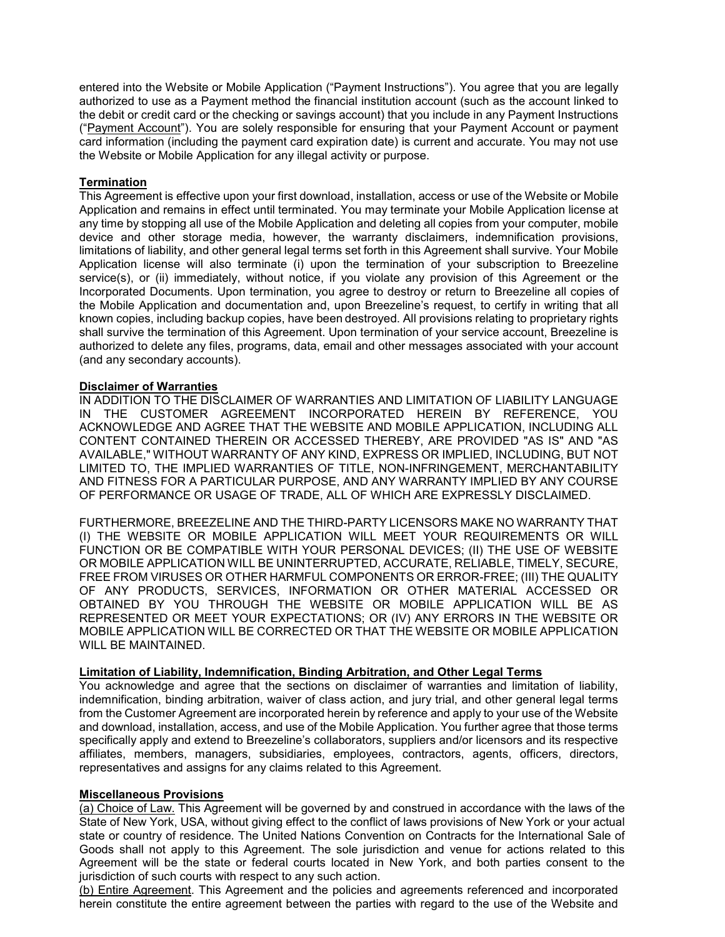entered into the Website or Mobile Application ("Payment Instructions"). You agree that you are legally authorized to use as a Payment method the financial institution account (such as the account linked to the debit or credit card or the checking or savings account) that you include in any Payment Instructions ("Payment Account"). You are solely responsible for ensuring that your Payment Account or payment card information (including the payment card expiration date) is current and accurate. You may not use the Website or Mobile Application for any illegal activity or purpose.

# **Termination**

This Agreement is effective upon your first download, installation, access or use of the Website or Mobile Application and remains in effect until terminated. You may terminate your Mobile Application license at any time by stopping all use of the Mobile Application and deleting all copies from your computer, mobile device and other storage media, however, the warranty disclaimers, indemnification provisions, limitations of liability, and other general legal terms set forth in this Agreement shall survive. Your Mobile Application license will also terminate (i) upon the termination of your subscription to Breezeline service(s), or (ii) immediately, without notice, if you violate any provision of this Agreement or the Incorporated Documents. Upon termination, you agree to destroy or return to Breezeline all copies of the Mobile Application and documentation and, upon Breezeline's request, to certify in writing that all known copies, including backup copies, have been destroyed. All provisions relating to proprietary rights shall survive the termination of this Agreement. Upon termination of your service account, Breezeline is authorized to delete any files, programs, data, email and other messages associated with your account (and any secondary accounts).

### **Disclaimer of Warranties**

IN ADDITION TO THE DISCLAIMER OF WARRANTIES AND LIMITATION OF LIABILITY LANGUAGE IN THE CUSTOMER AGREEMENT INCORPORATED HEREIN BY REFERENCE, YOU ACKNOWLEDGE AND AGREE THAT THE WEBSITE AND MOBILE APPLICATION, INCLUDING ALL CONTENT CONTAINED THEREIN OR ACCESSED THEREBY, ARE PROVIDED "AS IS" AND "AS AVAILABLE," WITHOUT WARRANTY OF ANY KIND, EXPRESS OR IMPLIED, INCLUDING, BUT NOT LIMITED TO, THE IMPLIED WARRANTIES OF TITLE, NON-INFRINGEMENT, MERCHANTABILITY AND FITNESS FOR A PARTICULAR PURPOSE, AND ANY WARRANTY IMPLIED BY ANY COURSE OF PERFORMANCE OR USAGE OF TRADE, ALL OF WHICH ARE EXPRESSLY DISCLAIMED.

FURTHERMORE, BREEZELINE AND THE THIRD-PARTY LICENSORS MAKE NO WARRANTY THAT (I) THE WEBSITE OR MOBILE APPLICATION WILL MEET YOUR REQUIREMENTS OR WILL FUNCTION OR BE COMPATIBLE WITH YOUR PERSONAL DEVICES; (II) THE USE OF WEBSITE OR MOBILE APPLICATION WILL BE UNINTERRUPTED, ACCURATE, RELIABLE, TIMELY, SECURE, FREE FROM VIRUSES OR OTHER HARMFUL COMPONENTS OR ERROR-FREE; (III) THE QUALITY OF ANY PRODUCTS, SERVICES, INFORMATION OR OTHER MATERIAL ACCESSED OR OBTAINED BY YOU THROUGH THE WEBSITE OR MOBILE APPLICATION WILL BE AS REPRESENTED OR MEET YOUR EXPECTATIONS; OR (IV) ANY ERRORS IN THE WEBSITE OR MOBILE APPLICATION WILL BE CORRECTED OR THAT THE WEBSITE OR MOBILE APPLICATION WILL BE MAINTAINED.

#### **Limitation of Liability, Indemnification, Binding Arbitration, and Other Legal Terms**

You acknowledge and agree that the sections on disclaimer of warranties and limitation of liability, indemnification, binding arbitration, waiver of class action, and jury trial, and other general legal terms from the Customer Agreement are incorporated herein by reference and apply to your use of the Website and download, installation, access, and use of the Mobile Application. You further agree that those terms specifically apply and extend to Breezeline's collaborators, suppliers and/or licensors and its respective affiliates, members, managers, subsidiaries, employees, contractors, agents, officers, directors, representatives and assigns for any claims related to this Agreement.

### **Miscellaneous Provisions**

(a) Choice of Law. This Agreement will be governed by and construed in accordance with the laws of the State of New York, USA, without giving effect to the conflict of laws provisions of New York or your actual state or country of residence. The United Nations Convention on Contracts for the International Sale of Goods shall not apply to this Agreement. The sole jurisdiction and venue for actions related to this Agreement will be the state or federal courts located in New York, and both parties consent to the jurisdiction of such courts with respect to any such action.

(b) Entire Agreement. This Agreement and the policies and agreements referenced and incorporated herein constitute the entire agreement between the parties with regard to the use of the Website and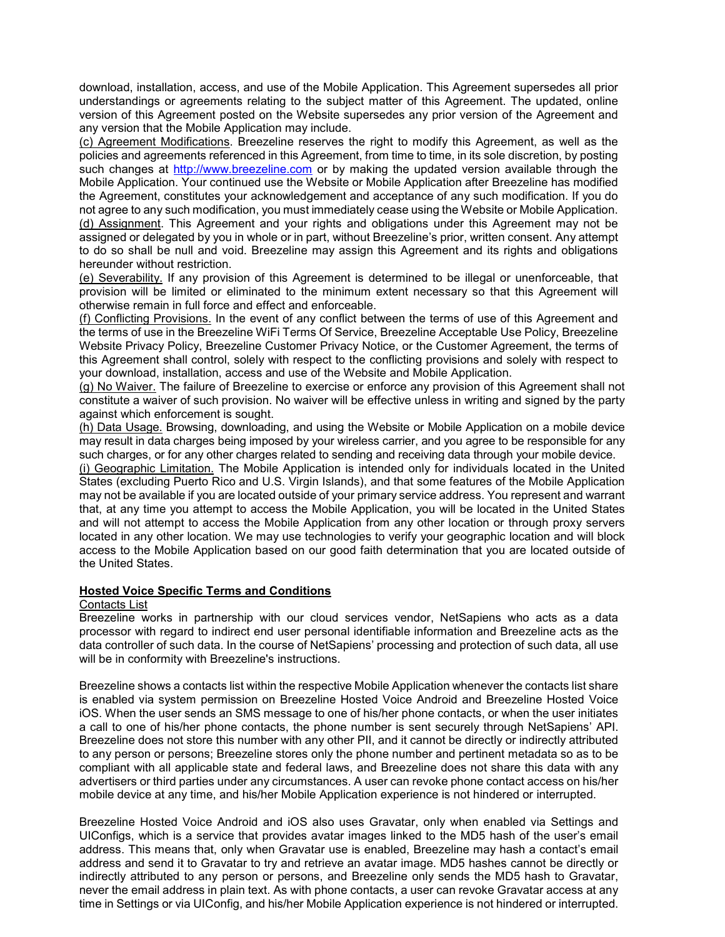download, installation, access, and use of the Mobile Application. This Agreement supersedes all prior understandings or agreements relating to the subject matter of this Agreement. The updated, online version of this Agreement posted on the Website supersedes any prior version of the Agreement and any version that the Mobile Application may include.

(c) Agreement Modifications. Breezeline reserves the right to modify this Agreement, as well as the policies and agreements referenced in this Agreement, from time to time, in its sole discretion, by posting such changes at [http://www.breezeline.com](http://www.breezeline.com/) or by making the updated version available through the Mobile Application. Your continued use the Website or Mobile Application after Breezeline has modified the Agreement, constitutes your acknowledgement and acceptance of any such modification. If you do not agree to any such modification, you must immediately cease using the Website or Mobile Application. (d) Assignment. This Agreement and your rights and obligations under this Agreement may not be assigned or delegated by you in whole or in part, without Breezeline's prior, written consent. Any attempt to do so shall be null and void. Breezeline may assign this Agreement and its rights and obligations hereunder without restriction.

(e) Severability. If any provision of this Agreement is determined to be illegal or unenforceable, that provision will be limited or eliminated to the minimum extent necessary so that this Agreement will otherwise remain in full force and effect and enforceable.

(f) Conflicting Provisions. In the event of any conflict between the terms of use of this Agreement and the terms of use in the Breezeline WiFi Terms Of Service, Breezeline Acceptable Use Policy, Breezeline Website Privacy Policy, Breezeline Customer Privacy Notice, or the Customer Agreement, the terms of this Agreement shall control, solely with respect to the conflicting provisions and solely with respect to your download, installation, access and use of the Website and Mobile Application.

(g) No Waiver. The failure of Breezeline to exercise or enforce any provision of this Agreement shall not constitute a waiver of such provision. No waiver will be effective unless in writing and signed by the party against which enforcement is sought.

(h) Data Usage. Browsing, downloading, and using the Website or Mobile Application on a mobile device may result in data charges being imposed by your wireless carrier, and you agree to be responsible for any such charges, or for any other charges related to sending and receiving data through your mobile device.

(i) Geographic Limitation. The Mobile Application is intended only for individuals located in the United States (excluding Puerto Rico and U.S. Virgin Islands), and that some features of the Mobile Application may not be available if you are located outside of your primary service address. You represent and warrant that, at any time you attempt to access the Mobile Application, you will be located in the United States and will not attempt to access the Mobile Application from any other location or through proxy servers located in any other location. We may use technologies to verify your geographic location and will block access to the Mobile Application based on our good faith determination that you are located outside of the United States.

#### **Hosted Voice Specific Terms and Conditions**

### Contacts List

Breezeline works in partnership with our cloud services vendor, NetSapiens who acts as a data processor with regard to indirect end user personal identifiable information and Breezeline acts as the data controller of such data. In the course of NetSapiens' processing and protection of such data, all use will be in conformity with Breezeline's instructions.

Breezeline shows a contacts list within the respective Mobile Application whenever the contacts list share is enabled via system permission on Breezeline Hosted Voice Android and Breezeline Hosted Voice iOS. When the user sends an SMS message to one of his/her phone contacts, or when the user initiates a call to one of his/her phone contacts, the phone number is sent securely through NetSapiens' API. Breezeline does not store this number with any other PII, and it cannot be directly or indirectly attributed to any person or persons; Breezeline stores only the phone number and pertinent metadata so as to be compliant with all applicable state and federal laws, and Breezeline does not share this data with any advertisers or third parties under any circumstances. A user can revoke phone contact access on his/her mobile device at any time, and his/her Mobile Application experience is not hindered or interrupted.

Breezeline Hosted Voice Android and iOS also uses Gravatar, only when enabled via Settings and UIConfigs, which is a service that provides avatar images linked to the MD5 hash of the user's email address. This means that, only when Gravatar use is enabled, Breezeline may hash a contact's email address and send it to Gravatar to try and retrieve an avatar image. MD5 hashes cannot be directly or indirectly attributed to any person or persons, and Breezeline only sends the MD5 hash to Gravatar, never the email address in plain text. As with phone contacts, a user can revoke Gravatar access at any time in Settings or via UIConfig, and his/her Mobile Application experience is not hindered or interrupted.